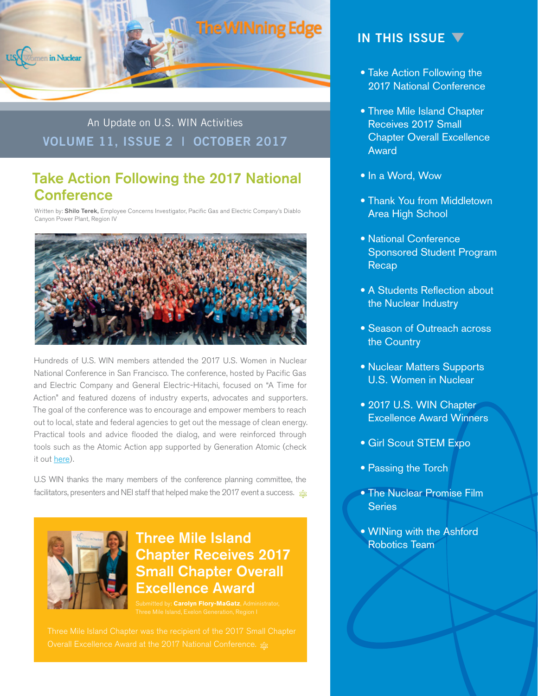

An Update on U.S. WIN Activities **VOLUME 11, ISSUE 2 | OCTOBER 2017** 

# Take Action Following the 2017 National **Conference**

Written by: Shilo Terek, Employee Concerns Investigator, Pacific Gas and Electric Company's Diablo Canyon Power Plant, Region IV



Hundreds of U.S. WIN members attended the 2017 U.S. Women in Nuclear National Conference in San Francisco. The conference, hosted by Pacific Gas and Electric Company and General Electric-Hitachi, focused on "A Time for Action" and featured dozens of industry experts, advocates and supporters. The goal of the conference was to encourage and empower members to reach out to local, state and federal agencies to get out the message of clean energy. Practical tools and advice flooded the dialog, and were reinforced through tools such as the Atomic Action app supported by Generation Atomic (check it out [here](http://www.generationatomic.org/)).

U.S WIN thanks the many members of the conference planning committee, the facilitators, presenters and NEI staff that helped make the 2017 event a success.  $\frac{1}{28}$ 



## Three Mile Island Chapter Receives 2017 Small Chapter Overall Excellence Award

nitted by: **Carolyn Flory-MaGatz**, Administrator,

Three Mile Island Chapter was the recipient of the 2017 Small Chapter

#### **IN THIS ISSUE**

- Take Action Following the 2017 National Conference
- Three Mile Island Chapter Receives 2017 Small Chapter Overall Excellence Award
- In a Word, Wow
- Thank You from Middletown Area High School
- National Conference Sponsored Student Program Recap
- A Students Reflection about the Nuclear Industry
- Season of Outreach across the Country
- Nuclear Matters Supports U.S. Women in Nuclear
- 2017 U.S. WIN Chapter Excellence Award Winners
- Girl Scout STEM Expo
- Passing the Torch
- The Nuclear Promise Film **Series**
- WINing with the Ashford Robotics Team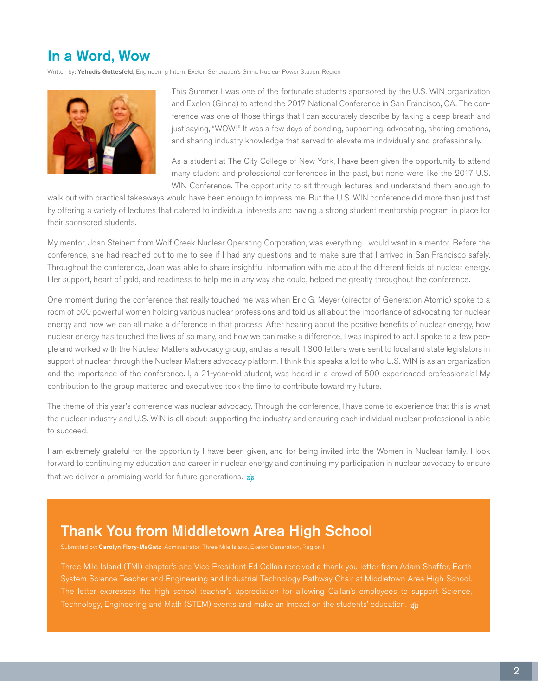# In a Word, Wow

Written by: Yehudis Gottesfeld, Engineering Intern, Exelon Generation's Ginna Nuclear Power Station, Region I



This Summer I was one of the fortunate students sponsored by the U.S. WIN organization and Exelon (Ginna) to attend the 2017 National Conference in San Francisco, CA. The conference was one of those things that I can accurately describe by taking a deep breath and just saying, "WOW!" It was a few days of bonding, supporting, advocating, sharing emotions, and sharing industry knowledge that served to elevate me individually and professionally.

As a student at The City College of New York, I have been given the opportunity to attend many student and professional conferences in the past, but none were like the 2017 U.S. WIN Conference. The opportunity to sit through lectures and understand them enough to

walk out with practical takeaways would have been enough to impress me. But the U.S. WIN conference did more than just that by offering a variety of lectures that catered to individual interests and having a strong student mentorship program in place for their sponsored students.

My mentor, Joan Steinert from Wolf Creek Nuclear Operating Corporation, was everything I would want in a mentor. Before the conference, she had reached out to me to see if I had any questions and to make sure that I arrived in San Francisco safely. Throughout the conference, Joan was able to share insightful information with me about the different fields of nuclear energy. Her support, heart of gold, and readiness to help me in any way she could, helped me greatly throughout the conference.

One moment during the conference that really touched me was when Eric G. Meyer (director of Generation Atomic) spoke to a room of 500 powerful women holding various nuclear professions and told us all about the importance of advocating for nuclear energy and how we can all make a difference in that process. After hearing about the positive benefits of nuclear energy, how nuclear energy has touched the lives of so many, and how we can make a difference, I was inspired to act. I spoke to a few people and worked with the Nuclear Matters advocacy group, and as a result 1,300 letters were sent to local and state legislators in support of nuclear through the Nuclear Matters advocacy platform. I think this speaks a lot to who U.S. WIN is as an organization and the importance of the conference. I, a 21-year-old student, was heard in a crowd of 500 experienced professionals! My contribution to the group mattered and executives took the time to contribute toward my future.

The theme of this year's conference was nuclear advocacy. Through the conference, I have come to experience that this is what the nuclear industry and U.S. WIN is all about: supporting the industry and ensuring each individual nuclear professional is able to succeed.

I am extremely grateful for the opportunity I have been given, and for being invited into the Women in Nuclear family. I look forward to continuing my education and career in nuclear energy and continuing my participation in nuclear advocacy to ensure that we deliver a promising world for future generations.  $\frac{1}{48}$ 

## Thank You from Middletown Area High School

Submitted by: Carolyn Flory-MaGatz, Administrator, Three Mile Island, Exelon Generation, Region I

Three Mile Island (TMI) chapter's site Vice President Ed Callan received a thank you letter from Adam Shaffer, Earth System Science Teacher and Engineering and Industrial Technology Pathway Chair at Middletown Area High School. The letter expresses the high school teacher's appreciation for allowing Callan's employees to support Science, Technology, Engineering and Math (STEM) events and make an impact on the students' education.  $z_{\text{B}}$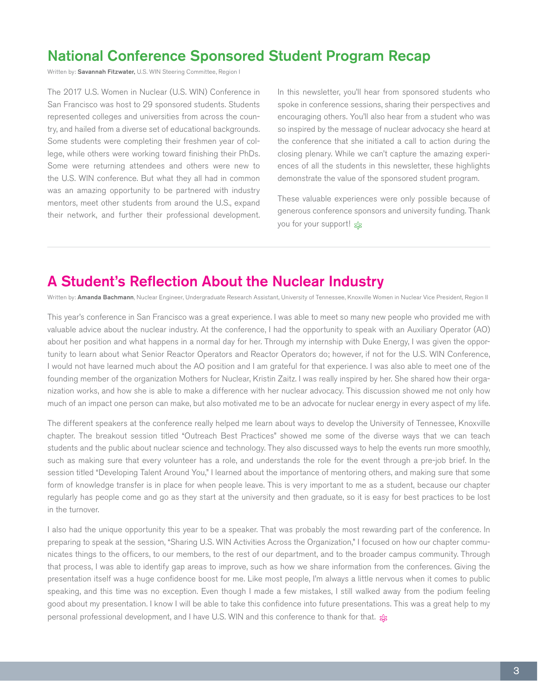# National Conference Sponsored Student Program Recap

Written by: Savannah Fitzwater, U.S. WIN Steering Committee, Region I

The 2017 U.S. Women in Nuclear (U.S. WIN) Conference in San Francisco was host to 29 sponsored students. Students represented colleges and universities from across the country, and hailed from a diverse set of educational backgrounds. Some students were completing their freshmen year of college, while others were working toward finishing their PhDs. Some were returning attendees and others were new to the U.S. WIN conference. But what they all had in common was an amazing opportunity to be partnered with industry mentors, meet other students from around the U.S., expand their network, and further their professional development. In this newsletter, you'll hear from sponsored students who spoke in conference sessions, sharing their perspectives and encouraging others. You'll also hear from a student who was so inspired by the message of nuclear advocacy she heard at the conference that she initiated a call to action during the closing plenary. While we can't capture the amazing experiences of all the students in this newsletter, these highlights demonstrate the value of the sponsored student program.

These valuable experiences were only possible because of generous conference sponsors and university funding. Thank you for your support!

#### A Student's Reflection About the Nuclear Industry

Written by: Amanda Bachmann, Nuclear Engineer, Undergraduate Research Assistant, University of Tennessee, Knoxville Women in Nuclear Vice President, Region II

This year's conference in San Francisco was a great experience. I was able to meet so many new people who provided me with valuable advice about the nuclear industry. At the conference, I had the opportunity to speak with an Auxiliary Operator (AO) about her position and what happens in a normal day for her. Through my internship with Duke Energy, I was given the opportunity to learn about what Senior Reactor Operators and Reactor Operators do; however, if not for the U.S. WIN Conference, I would not have learned much about the AO position and I am grateful for that experience. I was also able to meet one of the founding member of the organization Mothers for Nuclear, Kristin Zaitz. I was really inspired by her. She shared how their organization works, and how she is able to make a difference with her nuclear advocacy. This discussion showed me not only how much of an impact one person can make, but also motivated me to be an advocate for nuclear energy in every aspect of my life.

The different speakers at the conference really helped me learn about ways to develop the University of Tennessee, Knoxville chapter. The breakout session titled "Outreach Best Practices" showed me some of the diverse ways that we can teach students and the public about nuclear science and technology. They also discussed ways to help the events run more smoothly, such as making sure that every volunteer has a role, and understands the role for the event through a pre-job brief. In the session titled "Developing Talent Around You," I learned about the importance of mentoring others, and making sure that some form of knowledge transfer is in place for when people leave. This is very important to me as a student, because our chapter regularly has people come and go as they start at the university and then graduate, so it is easy for best practices to be lost in the turnover.

I also had the unique opportunity this year to be a speaker. That was probably the most rewarding part of the conference. In preparing to speak at the session, "Sharing U.S. WIN Activities Across the Organization," I focused on how our chapter communicates things to the officers, to our members, to the rest of our department, and to the broader campus community. Through that process, I was able to identify gap areas to improve, such as how we share information from the conferences. Giving the presentation itself was a huge confidence boost for me. Like most people, I'm always a little nervous when it comes to public speaking, and this time was no exception. Even though I made a few mistakes, I still walked away from the podium feeling good about my presentation. I know I will be able to take this confidence into future presentations. This was a great help to my personal professional development, and I have U.S. WIN and this conference to thank for that.  $g_B$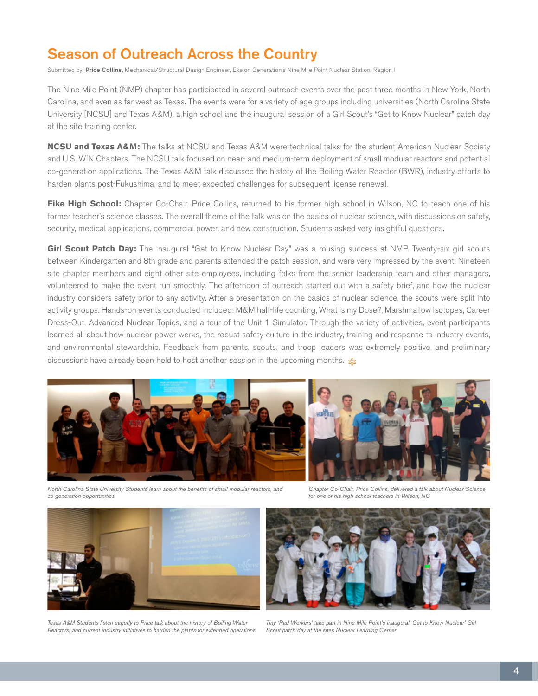# Season of Outreach Across the Country

Submitted by: Price Collins, Mechanical/Structural Design Engineer, Exelon Generation's Nine Mile Point Nuclear Station, Region I

The Nine Mile Point (NMP) chapter has participated in several outreach events over the past three months in New York, North Carolina, and even as far west as Texas. The events were for a variety of age groups including universities (North Carolina State University [NCSU] and Texas A&M), a high school and the inaugural session of a Girl Scout's "Get to Know Nuclear" patch day at the site training center.

**NCSU and Texas A&M:** The talks at NCSU and Texas A&M were technical talks for the student American Nuclear Society and U.S. WIN Chapters. The NCSU talk focused on near- and medium-term deployment of small modular reactors and potential co-generation applications. The Texas A&M talk discussed the history of the Boiling Water Reactor (BWR), industry efforts to harden plants post-Fukushima, and to meet expected challenges for subsequent license renewal.

Fike High School: Chapter Co-Chair, Price Collins, returned to his former high school in Wilson, NC to teach one of his former teacher's science classes. The overall theme of the talk was on the basics of nuclear science, with discussions on safety, security, medical applications, commercial power, and new construction. Students asked very insightful questions.

Girl Scout Patch Day: The inaugural "Get to Know Nuclear Day" was a rousing success at NMP. Twenty-six girl scouts between Kindergarten and 8th grade and parents attended the patch session, and were very impressed by the event. Nineteen site chapter members and eight other site employees, including folks from the senior leadership team and other managers, volunteered to make the event run smoothly. The afternoon of outreach started out with a safety brief, and how the nuclear industry considers safety prior to any activity. After a presentation on the basics of nuclear science, the scouts were split into activity groups. Hands-on events conducted included: M&M half-life counting, What is my Dose?, Marshmallow Isotopes, Career Dress-Out, Advanced Nuclear Topics, and a tour of the Unit 1 Simulator. Through the variety of activities, event participants learned all about how nuclear power works, the robust safety culture in the industry, training and response to industry events, and environmental stewardship. Feedback from parents, scouts, and troop leaders was extremely positive, and preliminary discussions have already been held to host another session in the upcoming months.  $\hat{x}$ 



*North Carolina State University Students learn about the benefits of small modular reactors, and co-generation opportunities*

*Chapter Co-Chair, Price Collins, delivered a talk about Nuclear Science for one of his high school teachers in Wilson, NC*





*Texas A&M Students listen eagerly to Price talk about the history of Boiling Water Reactors, and current industry initiatives to harden the plants for extended operations*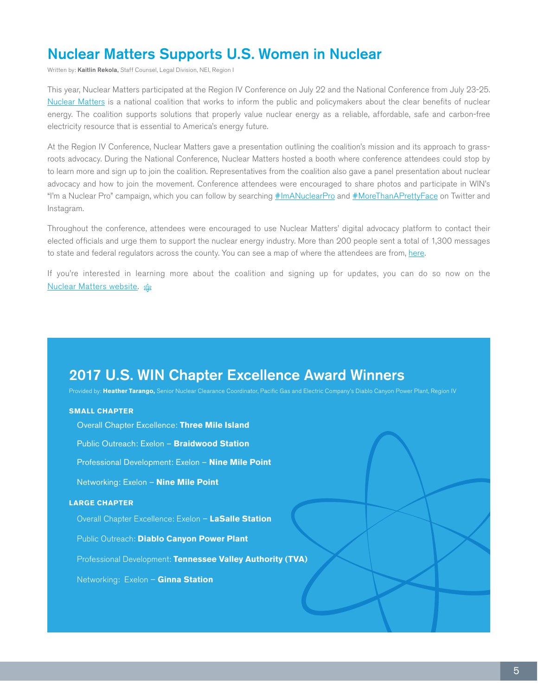# Nuclear Matters Supports U.S. Women in Nuclear

Written by: Kaitlin Rekola, Staff Counsel, Legal Division, NEI, Region I

This year, Nuclear Matters participated at the Region IV Conference on July 22 and the National Conference from July 23-25. [Nuclear Matters](http://www.nuclearmatters.com/) is a national coalition that works to inform the public and policymakers about the clear benefits of nuclear energy. The coalition supports solutions that properly value nuclear energy as a reliable, affordable, safe and carbon-free electricity resource that is essential to America's energy future.

At the Region IV Conference, Nuclear Matters gave a presentation outlining the coalition's mission and its approach to grassroots advocacy. During the National Conference, Nuclear Matters hosted a booth where conference attendees could stop by to learn more and sign up to join the coalition. Representatives from the coalition also gave a panel presentation about nuclear advocacy and how to join the movement. Conference attendees were encouraged to share photos and participate in WIN's "I'm a Nuclear Pro" campaign, which you can follow by searching  $\#$ ImANuclearPro and  $\#$ MoreThanAPrettyFace on Twitter and Instagram.

Throughout the conference, attendees were encouraged to use Nuclear Matters' digital advocacy platform to contact their elected officials and urge them to support the nuclear energy industry. More than 200 people sent a total of 1,300 messages to state and federal regulators across the county. You can see a map of where the attendees are from, [here](https://p2a.co/visual/map/GFZhvo2).

If you're interested in learning more about the coalition and signing up for updates, you can do so now on the **[Nuclear Matters website.](http://www.nuclearmatters.com/)**  $\frac{1}{28}$ 

# 2017 U.S. WIN Chapter Excellence Award Winners

Provided by: **Heather Tarango,** Senior Nuclear Clearance Coordinator, Pacific Gas and Electric Company's Diablo Canyon Power Plant, Region IV

#### **SMALL CHAPTER**

Overall Chapter Excellence: **Three Mile Island**

Public Outreach: Exelon – **Braidwood Station**

Professional Development: Exelon – **Nine Mile Point**

Networking: Exelon – **Nine Mile Point**

#### **LARGE CHAPTER**

Overall Chapter Excellence: Exelon – **LaSalle Station**

Public Outreach: **Diablo Canyon Power Plant**

Professional Development: **Tennessee Valley Authority (TVA)**

Networking: Exelon – **Ginna Station**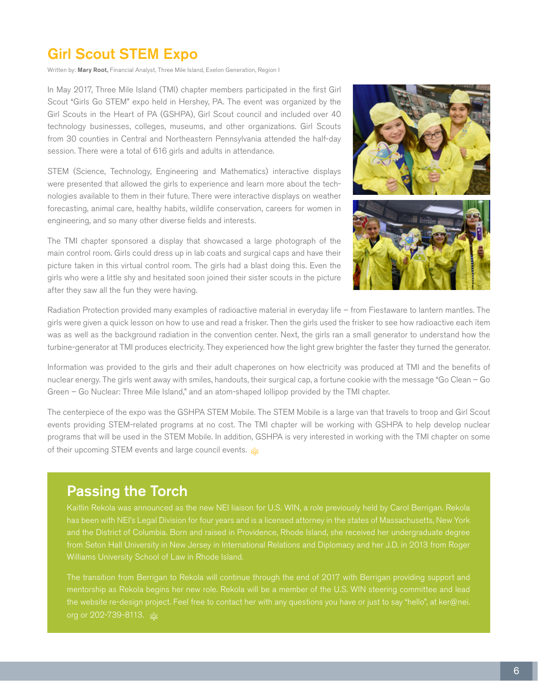# Girl Scout STEM Expo

Written by: Mary Root, Financial Analyst, Three Mile Island, Exelon Generation, Region I

In May 2017, Three Mile Island (TMI) chapter members participated in the first Girl Scout "Girls Go STEM" expo held in Hershey, PA. The event was organized by the Girl Scouts in the Heart of PA (GSHPA), Girl Scout council and included over 40 technology businesses, colleges, museums, and other organizations. Girl Scouts from 30 counties in Central and Northeastern Pennsylvania attended the half-day session. There were a total of 616 girls and adults in attendance.

STEM (Science, Technology, Engineering and Mathematics) interactive displays were presented that allowed the girls to experience and learn more about the technologies available to them in their future. There were interactive displays on weather forecasting, animal care, healthy habits, wildlife conservation, careers for women in engineering, and so many other diverse fields and interests.

The TMI chapter sponsored a display that showcased a large photograph of the main control room. Girls could dress up in lab coats and surgical caps and have their picture taken in this virtual control room. The girls had a blast doing this. Even the girls who were a little shy and hesitated soon joined their sister scouts in the picture after they saw all the fun they were having.



Radiation Protection provided many examples of radioactive material in everyday life – from Fiestaware to lantern mantles. The girls were given a quick lesson on how to use and read a frisker. Then the girls used the frisker to see how radioactive each item was as well as the background radiation in the convention center. Next, the girls ran a small generator to understand how the turbine-generator at TMI produces electricity. They experienced how the light grew brighter the faster they turned the generator.

Information was provided to the girls and their adult chaperones on how electricity was produced at TMI and the benefits of nuclear energy. The girls went away with smiles, handouts, their surgical cap, a fortune cookie with the message "Go Clean – Go Green – Go Nuclear: Three Mile Island," and an atom-shaped lollipop provided by the TMI chapter.

The centerpiece of the expo was the GSHPA STEM Mobile. The STEM Mobile is a large van that travels to troop and Girl Scout events providing STEM-related programs at no cost. The TMI chapter will be working with GSHPA to help develop nuclear programs that will be used in the STEM Mobile. In addition, GSHPA is very interested in working with the TMI chapter on some of their upcoming STEM events and large council events.  $\frac{1}{28}$ 

## Passing the Torch

Kaitlin Rekola was announced as the new NEI liaison for U.S. WIN, a role previously held by Carol Berrigan. Rekola from Seton Hall University in New Jersey in International Relations and Diplomacy and her J.D. in 2013 from Roger

The transition from Berrigan to Rekola will continue through the end of 2017 with Berrigan providing support and org or 202-739-8113. \$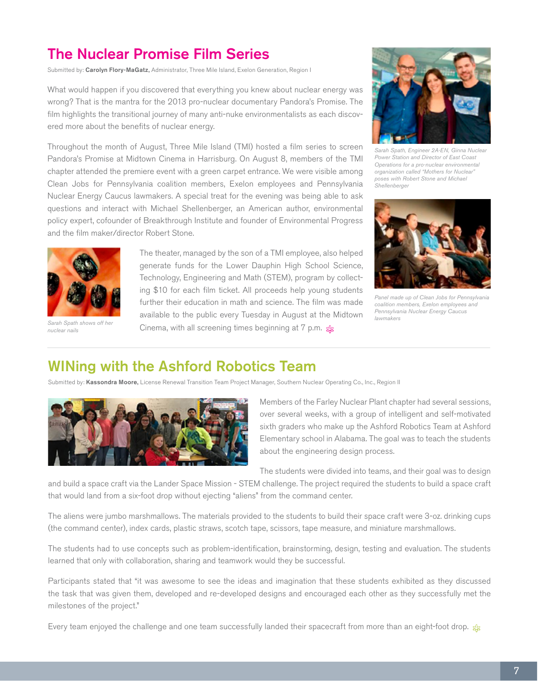# The Nuclear Promise Film Series

Submitted by: Carolyn Flory-MaGatz, Administrator, Three Mile Island, Exelon Generation, Region I

*Sarah Spath, Engineer 2A-EN, Ginna Nuclear Power Station and Director of East Coast Operations for a pro-nuclear environmental organization called "Mothers for Nuclear" poses with Robert Stone and Michael Shellenberger*



*Panel made up of Clean Jobs for Pennsylvania coalition members, Exelon employees and Pennsylvania Nuclear Energy Caucus lawmakers*

What would happen if you discovered that everything you knew about nuclear energy was wrong? That is the mantra for the 2013 pro-nuclear documentary Pandora's Promise. The film highlights the transitional journey of many anti-nuke environmentalists as each discovered more about the benefits of nuclear energy.

Throughout the month of August, Three Mile Island (TMI) hosted a film series to screen Pandora's Promise at Midtown Cinema in Harrisburg. On August 8, members of the TMI chapter attended the premiere event with a green carpet entrance. We were visible among Clean Jobs for Pennsylvania coalition members, Exelon employees and Pennsylvania Nuclear Energy Caucus lawmakers. A special treat for the evening was being able to ask questions and interact with Michael Shellenberger, an American author, environmental policy expert, cofounder of Breakthrough Institute and founder of Environmental Progress and the film maker/director Robert Stone.



*Sarah Spath shows off her nuclear nails*

The theater, managed by the son of a TMI employee, also helped generate funds for the Lower Dauphin High School Science, Technology, Engineering and Math (STEM), program by collecting \$10 for each film ticket. All proceeds help young students further their education in math and science. The film was made available to the public every Tuesday in August at the Midtown Cinema, with all screening times beginning at 7 p.m.

## WINing with the Ashford Robotics Team

Submitted by: Kassondra Moore, License Renewal Transition Team Project Manager, Southern Nuclear Operating Co., Inc., Region II



Members of the Farley Nuclear Plant chapter had several sessions, over several weeks, with a group of intelligent and self-motivated sixth graders who make up the Ashford Robotics Team at Ashford Elementary school in Alabama. The goal was to teach the students about the engineering design process.

The students were divided into teams, and their goal was to design

and build a space craft via the Lander Space Mission - STEM challenge. The project required the students to build a space craft that would land from a six-foot drop without ejecting "aliens" from the command center.

The aliens were jumbo marshmallows. The materials provided to the students to build their space craft were 3-oz. drinking cups (the command center), index cards, plastic straws, scotch tape, scissors, tape measure, and miniature marshmallows.

The students had to use concepts such as problem-identification, brainstorming, design, testing and evaluation. The students learned that only with collaboration, sharing and teamwork would they be successful.

Participants stated that "it was awesome to see the ideas and imagination that these students exhibited as they discussed the task that was given them, developed and re-developed designs and encouraged each other as they successfully met the milestones of the project."

Every team enjoyed the challenge and one team successfully landed their spacecraft from more than an eight-foot drop.  $\pm$